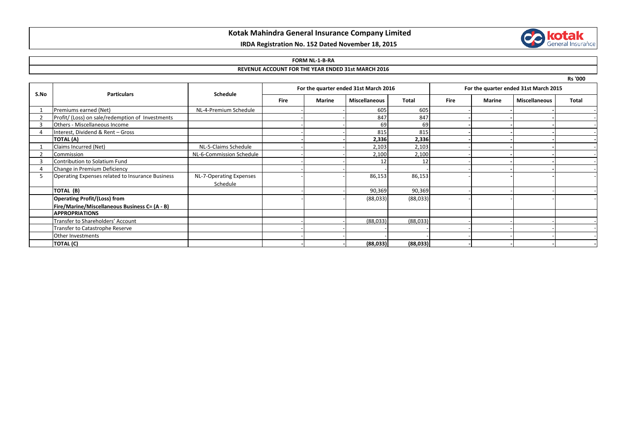# **Kotak Mahindra General Insurance Company Limited**

## **IRDA Registration No. 152 Dated November 18, 2015**

### **FORM NL-1-B-RA**

#### **REVENUE ACCOUNT FOR THE YEAR ENDED 31st MARCH 2016**

|      |                                                  |                                     |                                       |        |                      |          |                                       |               |                      | <b>Rs '000</b> |
|------|--------------------------------------------------|-------------------------------------|---------------------------------------|--------|----------------------|----------|---------------------------------------|---------------|----------------------|----------------|
| S.No | <b>Particulars</b>                               | Schedule                            | For the quarter ended 31st March 2016 |        |                      |          | For the quarter ended 31st March 2015 |               |                      |                |
|      |                                                  |                                     | <b>Fire</b>                           | Marine | <b>Miscellaneous</b> | Total    | <b>Fire</b>                           | <b>Marine</b> | <b>Miscellaneous</b> | Total          |
|      | Premiums earned (Net)                            | NL-4-Premium Schedule               |                                       |        | 605                  | 605      |                                       |               |                      |                |
|      | Profit/ (Loss) on sale/redemption of Investments |                                     |                                       |        | 847                  | 847      |                                       |               |                      |                |
|      | Others - Miscellaneous Income                    |                                     |                                       |        | 69                   | 69       |                                       |               |                      |                |
| 4    | Interest, Dividend & Rent - Gross                |                                     |                                       |        | 815                  | 815      |                                       |               |                      |                |
|      | <b>TOTAL (A)</b>                                 |                                     |                                       |        | 2,336                | 2,336    |                                       |               |                      |                |
|      | Claims Incurred (Net)                            | NL-5-Claims Schedule                |                                       |        | 2,103                | 2,103    |                                       |               |                      |                |
|      | Commission                                       | NL-6-Commission Schedule            |                                       |        | 2,100                | 2,100    |                                       |               |                      |                |
|      | Contribution to Solatium Fund                    |                                     |                                       |        | 12                   | 12       |                                       |               |                      |                |
|      | Change in Premium Deficiency                     |                                     |                                       |        |                      |          |                                       |               |                      |                |
| 5    | Operating Expenses related to Insurance Business | NL-7-Operating Expenses<br>Schedule |                                       |        | 86,153               | 86,153   |                                       |               |                      |                |
|      | TOTAL (B)                                        |                                     |                                       |        | 90,369               | 90,369   |                                       |               |                      |                |
|      | <b>Operating Profit/(Loss) from</b>              |                                     |                                       |        | (88,033)             | (88,033) |                                       |               |                      |                |
|      | Fire/Marine/Miscellaneous Business C= (A - B)    |                                     |                                       |        |                      |          |                                       |               |                      |                |
|      | <b>APPROPRIATIONS</b>                            |                                     |                                       |        |                      |          |                                       |               |                      |                |
|      | Transfer to Shareholders' Account                |                                     |                                       |        | (88,033)             | (88,033) |                                       |               |                      |                |
|      | Transfer to Catastrophe Reserve                  |                                     |                                       |        |                      |          |                                       |               |                      |                |
|      | Other Investments                                |                                     |                                       |        |                      |          |                                       |               |                      |                |
|      | <b>TOTAL (C)</b>                                 |                                     |                                       |        | (88,033)             | (88,033) |                                       |               |                      |                |